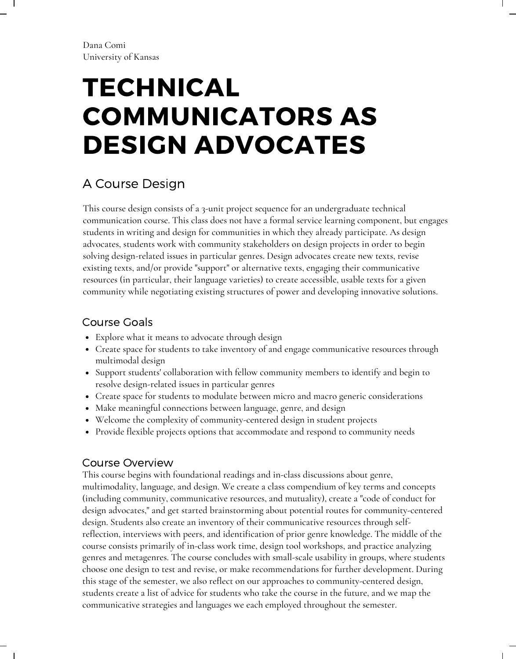# TECHNICAL COMMUNICATORS AS DESIGN ADVOCATES

## A Course Design

This course design consists of a 3-unit project sequence for an undergraduate technical communication course. This class does not have a formal service learning component, but engages students in writing and design for communities in which they already participate. As design advocates, students work with community stakeholders on design projects in order to begin solving design-related issues in particular genres. Design advocates create new texts, revise existing texts, and/or provide "support" or alternative texts, engaging their communicative resources (in particular, their language varieties) to create accessible, usable texts for a given community while negotiating existing structures of power and developing innovative solutions.

## Course Goals

- Explore what it means to advocate through design
- Create space for students to take inventory of and engage communicative resources through multimodal design
- Support students' collaboration with fellow community members to identify and begin to resolve design-related issues in particular genres
- Create space for students to modulate between micro and macro generic considerations
- Make meaningful connections between language, genre, and design
- Welcome the complexity of community-centered design in student projects
- Provide lexible projects options that accommodate and respond to community needs

### Course Overview

This course begins with foundational readings and in-class discussions about genre, multimodality, language, and design. We create a class compendium of key terms and concepts (including community, communicative resources, and mutuality), create a "code of conduct for design advocates," and get started brainstorming about potential routes for community-centered design. Students also create an inventory of their communicative resources through selfrelection, interviews with peers, and identiication of prior genre knowledge. The middle of the course consists primarily of in-class work time, design tool workshops, and practice analyzing genres and metagenres. The course concludes with small-scale usability in groups, where students choose one design to test and revise, or make recommendations for further development. During this stage of the semester, we also relect on our approaches to community-centered design, students create a list of advice for students who take the course in the future, and we map the communicative strategies and languages we each employed throughout the semester.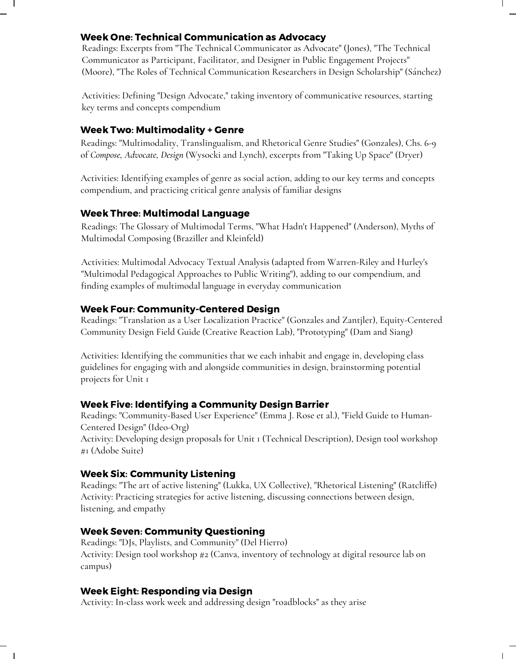#### Week One: Technical Communication as Advocacy

Readings: Excerpts from "The Technical Communicator as Advocate" (Jones), "The Technical Communicator as Participant, Facilitator, and Designer in Public Engagement Projects" (Moore), "The Roles of Technical Communication Researchers in Design Scholarship" (Sánchez)  $\mathbf{I}$ 

Activities: Deining "Design Advocate," taking inventory of communicative resources, starting key terms and concepts compendium

#### Week Two: Multimodality + Genre

Readings: "Multimodality, Translingualism, and Rhetorical Genre Studies" (Gonzales), Chs. 6-9 of *Compose, Advocate, Design* (Wysocki and Lynch), excerpts from "Taking Up Space" (Dryer)

Activities: Identifying examples of genre as social action, adding to our key terms and concepts compendium, and practicing critical genre analysis of familiar designs

#### Week Three: Multimodal Language

Readings: The Glossary of Multimodal Terms, "What Hadn't Happened" (Anderson), Myths of Multimodal Composing (Braziller and Kleinfeld)

Activities: Multimodal Advocacy Textual Analysis (adapted from Warren-Riley and Hurley's "Multimodal Pedagogical Approaches to Public Writing"), adding to our compendium, and inding examples of multimodal language in everyday communication

#### Week Four: Community-Centered Design

Readings: "Translation as a User Localization Practice" (Gonzales and Zantjler), Equity-Centered Community Design Field Guide (Creative Reaction Lab), "Prototyping" (Dam and Siang)

Activities: Identifying the communities that we each inhabit and engage in, developing class guidelines for engaging with and alongside communities in design, brainstorming potential projects for Unit 1

#### Week Five: Identifying a Community Design Barrier

Readings: "Community-Based User Experience" (Emma J. Rose et al.), "Field Guide to Human-Centered Design" (Ideo-Org) Activity: Developing design proposals for Unit 1 (Technical Description), Design tool workshop #1 (Adobe Suite)

#### Week Six: Community Listening

Readings: "The art of active listening" (Lukka, UX Collective), "Rhetorical Listening" (Ratcliffe) Activity: Practicing strategies for active listening, discussing connections between design, listening, and empathy

#### Week Seven: Community Questioning

Readings: "DJs, Playlists, and Community" (Del Hierro) Activity: Design tool workshop #2 (Canva, inventory of technology at digital resource lab on campus)

#### Week Eight: Responding via Design

Activity: In-class work week and addressing design "roadblocks" as they arise